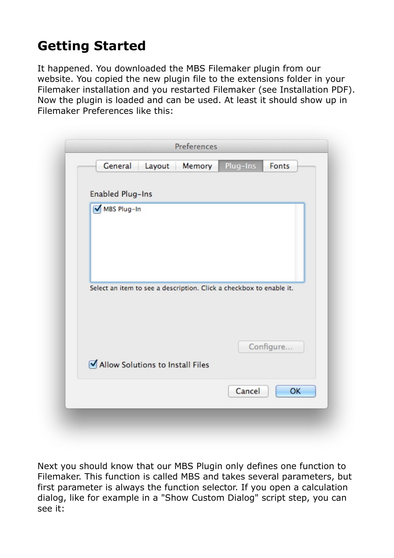## **Getting Started**

It happened. You downloaded the MBS Filemaker plugin from our website. You copied the new plugin file to the extensions folder in your Filemaker installation and you restarted Filemaker (see Installation PDF). Now the plugin is loaded and can be used. At least it should show up in Filemaker Preferences like this:



Next you should know that our MBS Plugin only defines one function to Filemaker. This function is called MBS and takes several parameters, but first parameter is always the function selector. If you open a calculation dialog, like for example in a "Show Custom Dialog" script step, you can see it: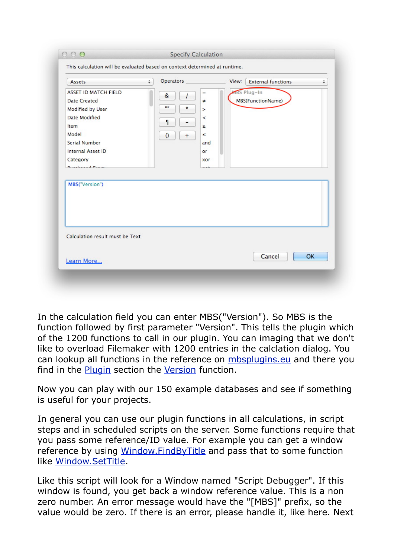| $=$                                                                                      | MBS Plug-In       |            |
|------------------------------------------------------------------------------------------|-------------------|------------|
| &<br>7<br>$\neq$<br>m<br>$\star$<br>×<br>≺<br>-<br>×.<br>Š.<br>$\mathbf{0}$<br>$+$<br>or | MBS(FunctionName) |            |
|                                                                                          |                   |            |
|                                                                                          |                   |            |
|                                                                                          |                   |            |
|                                                                                          | Cancel            | OK         |
|                                                                                          |                   | and<br>xor |

In the calculation field you can enter MBS("Version"). So MBS is the function followed by first parameter "Version". This tells the plugin which of the 1200 functions to call in our plugin. You can imaging that we don't like to overload Filemaker with 1200 entries in the calclation dialog. You can lookup all functions in the reference on [mbsplugins.eu](http://www.mbsplugins.eu/) and there you find in the **[Plugin](http://www.mbsplugins.eu/component_Plugin.shtml)** section the [Version](http://www.mbsplugins.eu/Version.shtml) function.

Now you can play with our 150 example databases and see if something is useful for your projects.

In general you can use our plugin functions in all calculations, in script steps and in scheduled scripts on the server. Some functions require that you pass some reference/ID value. For example you can get a window reference by using [Window.FindByTitle](http://www.mbsplugins.eu/WindowFindByTitle.shtml) and pass that to some function like [Window.SetTitle](http://www.mbsplugins.eu/WindowSetTitle.shtml).

Like this script will look for a Window named "Script Debugger". If this window is found, you get back a window reference value. This is a non zero number. An error message would have the "[MBS]" prefix, so the value would be zero. If there is an error, please handle it, like here. Next